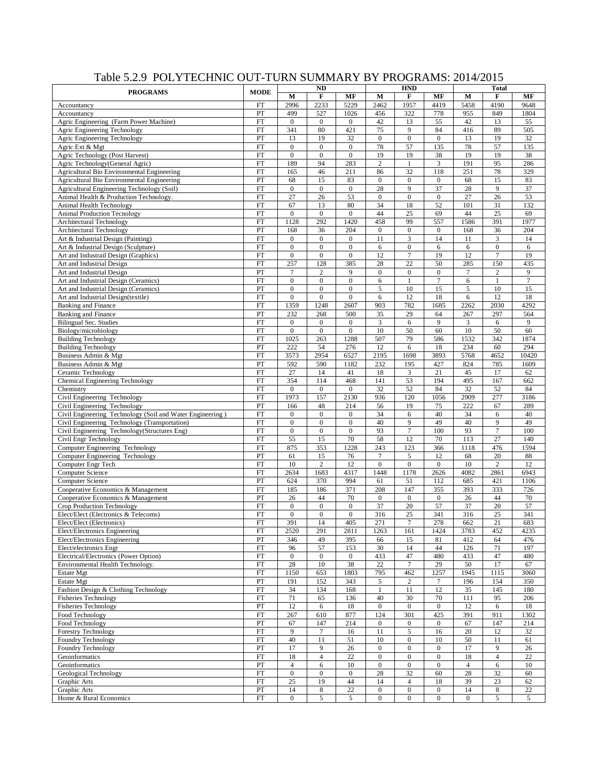|                                                           | <b>ND</b>                  |                  |                  |                  |                  | <b>HND</b>       |                  | <b>Total</b>     |                       |                |  |
|-----------------------------------------------------------|----------------------------|------------------|------------------|------------------|------------------|------------------|------------------|------------------|-----------------------|----------------|--|
| <b>PROGRAMS</b>                                           | <b>MODE</b>                | M                | F                | MF               | M                | F                | MF               | M                | $\bf F$               | MF             |  |
| Accountancy                                               | FT                         | 2996             | 2233             | 5229             | 2462             | 1957             | 4419             | 5458             | 4190                  | 9648           |  |
| Accountancy                                               | PT                         | 499              | 527              | 1026             | 456              | 322              | 778              | 955              | 849                   | 1804           |  |
| Agric Engineering (Farm Power Machine)                    | FT                         | $\mathbf{0}$     | $\overline{0}$   | $\overline{0}$   | 42               | 13               | 55               | 42               | 13                    | 55             |  |
| Agric Engineering Technology                              | FT                         | 341              | 80               | 421              | 75               | 9                | 84               | 416              | 89                    | 505            |  |
| Agric Engineering Technology                              | PT                         | 13               | 19               | 32               | $\mathbf{0}$     | $\boldsymbol{0}$ | $\boldsymbol{0}$ | 13               | 19                    | 32             |  |
| Agric Ext & Mgt                                           | FT                         | $\mathbf{0}$     | $\overline{0}$   | $\mathbf{0}$     | 78               | 57               | 135              | 78               | 57                    | 135            |  |
| Agric Technology (Post Harvest)                           | ${\rm FT}$                 | $\boldsymbol{0}$ | $\overline{0}$   | $\boldsymbol{0}$ | 19               | 19               | 38               | 19               | 19                    | 38             |  |
| Agric Technology(General Agric)                           | FT                         | 189              | 94               | 283              | $\overline{2}$   | 1                | 3                | 191              | 95                    | 286            |  |
| Agricultural Bio Environmental Engineering                | FT                         | 165              | 46               | 211              | 86               | 32               | 118              | 251              | 78                    | 329            |  |
| Agricultural Bio Environmental Engineering                | PT                         | 68               | 15               | 83               | $\boldsymbol{0}$ | $\mathbf{0}$     | $\boldsymbol{0}$ | 68               | 15                    | 83             |  |
| Agricultural Engineering Technology (Soil)                | FT                         | $\mathbf{0}$     | $\overline{0}$   | $\mathbf{0}$     | 28               | 9                | 37               | 28               | 9                     | 37             |  |
| Animal Health & Production Technology.                    | FT                         | 27               | 26               | 53               | $\theta$         | $\boldsymbol{0}$ | $\boldsymbol{0}$ | 27               | 26                    | 53             |  |
| Animal Health Technology                                  | FT                         | 67               | 13               | 80               | 34               | 18               | 52               | 101              | 31                    | 132            |  |
| <b>Animal Production Tecnology</b>                        | FT                         | $\boldsymbol{0}$ | $\overline{0}$   | $\mathbf{0}$     | 44               | 25               | 69               | 44               | 25                    | 69             |  |
| Architectural Technology                                  | FT                         | 1128             | 292              | 1420             | 458              | 99               | 557              | 1586             | 391                   | 1977           |  |
| <b>Architectural Technology</b>                           | PT                         | 168              | 36               | 204              | $\mathbf{0}$     | $\boldsymbol{0}$ | $\boldsymbol{0}$ | 168              | 36                    | 204            |  |
|                                                           | FT                         | $\boldsymbol{0}$ | $\overline{0}$   | $\mathbf{0}$     | 11               | 3                | 14               | 11               | 3                     | 14             |  |
| Art & Industrial Design (Painting)                        | FT                         | $\mathbf{0}$     | $\overline{0}$   | $\overline{0}$   |                  | $\boldsymbol{0}$ |                  | 6                | $\overline{0}$        |                |  |
| Art & Industrial Design (Sculpture)                       | FT                         | $\boldsymbol{0}$ | $\overline{0}$   | $\mathbf{0}$     | 6<br>12          | $\overline{7}$   | 6<br>19          | 12               | $\overline{7}$        | 6<br>19        |  |
| Art and Industrail Design (Graphics)                      |                            | 257              | 128              | 385              | 28               | $\overline{22}$  | 50               |                  |                       | 435            |  |
| Art and Industrial Design                                 | FT                         |                  | $\overline{c}$   | 9                | $\mathbf{0}$     |                  |                  | 285              | 150<br>$\overline{2}$ | 9              |  |
| Art and Industrial Design                                 | PT                         | 7                |                  |                  |                  | $\boldsymbol{0}$ | $\boldsymbol{0}$ | $\tau$           |                       | $\overline{7}$ |  |
| Art and Industrial Design (Ceramics)                      | FT                         | $\mathbf{0}$     | $\mathbf{0}$     | $\mathbf{0}$     | 6                | $\mathbf{1}$     | $\tau$           | 6                | 1                     |                |  |
| Art and Industrial Design (Ceramics)                      | PT                         | $\mathbf{0}$     | $\overline{0}$   | $\overline{0}$   | 5                | 10               | 15               | 5                | 10                    | 15             |  |
| Art and Industrial Design(textile)                        | FT                         | $\boldsymbol{0}$ | $\overline{0}$   | $\mathbf{0}$     | 6                | 12               | 18               | 6                | 12                    | 18             |  |
| <b>Banking and Finance</b>                                | FT                         | 1359             | 1248             | 2607             | 903              | 782              | 1685             | 2262             | 2030                  | 4292           |  |
| <b>Banking and Finance</b>                                | PT                         | 232              | 268              | 500              | 35               | 29               | 64               | 267              | 297                   | 564            |  |
| <b>Bilingual Sec. Studies</b>                             | FT                         | $\mathbf{0}$     | $\overline{0}$   | $\mathbf{0}$     | $\mathfrak{Z}$   | $\sqrt{6}$       | 9                | $\mathfrak z$    | 6                     | 9              |  |
| Biology/microbiology                                      | FT                         | $\boldsymbol{0}$ | $\overline{0}$   | $\boldsymbol{0}$ | 10               | 50               | 60               | 10               | 50                    | 60             |  |
| <b>Building Technology</b>                                | FT                         | 1025             | 263              | 1288             | 507              | 79               | 586              | 1532             | 342                   | 1874           |  |
| <b>Building Technology</b>                                | PT                         | 222              | 54               | 276              | 12               | 6                | 18               | 234              | 60                    | 294            |  |
| Business Admin & Mgt                                      | FT                         | 3573             | 2954             | 6527             | 2195             | 1698             | 3893             | 5768             | 4652                  | 10420          |  |
| Business Admin & Mgt                                      | PT                         | 592              | 590              | 1182             | 232              | 195              | 427              | 824              | 785                   | 1609           |  |
| Ceramic Technology                                        | FT                         | 27               | 14               | 41               | 18               | $\mathfrak{Z}$   | 21               | 45               | 17                    | 62             |  |
| Chemical Engineering Technology                           | FT                         | 354              | 114              | 468              | 141              | 53               | 194              | 495              | 167                   | 662            |  |
| Chemistry                                                 | FT                         | $\boldsymbol{0}$ | $\mathbf{0}$     | $\mathbf{0}$     | 32               | 52               | 84               | 32               | 52                    | 84             |  |
| Civil Engineering Technology                              | FT                         | 1973             | 157              | 2130             | 936              | 120              | 1056             | 2909             | 277                   | 3186           |  |
| Civil Engineering Technology                              | PT                         | 166              | 48               | 214              | 56               | 19               | 75               | 222              | 67                    | 289            |  |
| Civil Engineering Technology (Soil and Water Engineering) | FT                         | $\mathbf{0}$     | $\mathbf{0}$     | $\mathbf{0}$     | 34               | 6                | 40               | 34               | 6                     | 40             |  |
| Civil Engineering Technology (Transportation)             | FT                         | $\boldsymbol{0}$ | $\overline{0}$   | $\mathbf{0}$     | 40               | 9                | 49               | 40               | 9                     | 49             |  |
| Civil Engineering Technology(Structures Eng)              | $\mathop{\rm FT}\nolimits$ | $\boldsymbol{0}$ | $\overline{0}$   | $\boldsymbol{0}$ | 93               | $\boldsymbol{7}$ | 100              | 93               | $\tau$                | 100            |  |
| Civil Engr Technology                                     | FT                         | 55               | 15               | 70               | 58               | 12               | 70               | 113              | 27                    | 140            |  |
| Computer Engineering Technology                           | FT                         | 875              | 353              | 1228             | 243              | 123              | 366              | 1118             | 476                   | 1594           |  |
| Computer Engineering Technology                           | PT                         | 61               | 15               | 76               | $\overline{7}$   | $\sqrt{5}$       | 12               | 68               | 20                    | 88             |  |
| Computer Engr Tech                                        | FT                         | 10               | $\overline{c}$   | 12               | $\overline{0}$   | $\boldsymbol{0}$ | $\boldsymbol{0}$ | 10               | $\overline{2}$        | 12             |  |
| Computer Science                                          | FT                         | 2634             | 1683             | 4317             | 1448             | 1178             | 2626             | 4082             | 2861                  | 6943           |  |
| Computer Science                                          | PT                         | 624              | 370              | 994              | 61               | 51               | 112              | 685              | 421                   | 1106           |  |
| Cooperative Economics & Management                        | FT                         | 185              | 186              | 371              | 208              | 147              | 355              | 393              | 333                   | 726            |  |
| Cooperative Economics & Management                        | PT                         | 26               | 44               | 70               | $\mathbf{0}$     | $\boldsymbol{0}$ | $\boldsymbol{0}$ | 26               | 44                    | 70             |  |
| Crop Production Technology                                | FT                         | $\mathbf{0}$     | $\overline{0}$   | $\mathbf{0}$     | 37               | 20               | 57               | 37               | 20                    | 57             |  |
| Elect/Elect (Electronics & Telecoms)                      | FT                         | $\mathbf{0}$     | $\overline{0}$   | $\overline{0}$   | 316              | 25               | 341              | 316              | 25                    | 341            |  |
| Elect/Elect (Electronics)                                 | FT                         | 391              | 14               | 405              | 271              | $\tau$           | 278              | 662              | $21\,$                | 683            |  |
| Elect/Electronics Engineering                             | $\mathop{\rm FT}\nolimits$ | 2520             | 291              | 2811             | 1263             | 161              | 1424             | 3783             | 452                   | 4235           |  |
| Elect/Electronics Engineering                             | PT                         | 346              | 49               | 395              | 66               | 15               | 81               | 412              | 64                    | 476            |  |
| Elect/electronics Engr                                    | FT                         | 96               | 57               | 153              | 30               | 14               | 44               | 126              | 71                    | 197            |  |
| Electrical/Electronics (Power Option)                     | FT                         | $\mathbf{0}$     | $\boldsymbol{0}$ | $\boldsymbol{0}$ | 433              | 47               | 480              | 433              | 47                    | 480            |  |
| Environmental Health Technology.                          | FT                         | 28               | 10               | 38               | 22               | $\tau$           | 29               | 50               | 17                    | 67             |  |
| Estate Mgt                                                | FT                         | 1150             | 653              | 1803             | 795              | 462              | 1257             | 1945             | 1115                  | 3060           |  |
| <b>Estate Mgt</b>                                         | ${\cal PT}$                | 191              | 152              | 343              | 5                | $\sqrt{2}$       | $\boldsymbol{7}$ | 196              | 154                   | 350            |  |
| Fashion Design & Clothing Technology                      | FT                         | 34               | 134              | 168              | $\mathbf{1}$     | 11               | 12               | 35               | 145                   | 180            |  |
| <b>Fisheries Technology</b>                               | ${\rm FT}$                 | 71               | 65               | 136              | 40               | 30               | 70               | 111              | 95                    | 206            |  |
| <b>Fisheries Technology</b>                               | PT                         | 12               | 6                | 18               | $\boldsymbol{0}$ | $\boldsymbol{0}$ | $\boldsymbol{0}$ | 12               | 6                     | 18             |  |
| Food Technology                                           | FT                         | 267              | 610              | 877              | 124              | 301              | 425              | 391              | 911                   | 1302           |  |
| Food Technology                                           | PT                         | 67               | 147              | 214              | $\boldsymbol{0}$ | $\boldsymbol{0}$ | $\boldsymbol{0}$ | 67               | 147                   | 214            |  |
| Forestry Technology                                       | ${\rm FT}$                 | 9                | $\tau$           | 16               | 11               | 5                | 16               | 20               | 12                    | 32             |  |
| Foundry Technology                                        | $\mathop{\rm FT}\nolimits$ | 40               | 11               | 51               | 10               | $\boldsymbol{0}$ | 10               | 50               | 11                    | 61             |  |
| Foundry Technology                                        | ${\cal PT}$                | 17               | 9                | 26               | $\boldsymbol{0}$ | $\boldsymbol{0}$ | $\boldsymbol{0}$ | 17               | 9                     | 26             |  |
| Geoinformatics                                            | ${\rm FT}$                 | 18               | $\overline{4}$   | 22               | $\boldsymbol{0}$ | $\boldsymbol{0}$ | $\boldsymbol{0}$ | 18               | $\overline{4}$        | 22             |  |
| Geoinformatics                                            | PT                         | $\overline{4}$   | 6                | 10               | $\boldsymbol{0}$ | $\boldsymbol{0}$ | $\boldsymbol{0}$ | $\overline{4}$   | 6                     | 10             |  |
| Geological Technology                                     | FT                         | $\boldsymbol{0}$ | $\mathbf{0}$     | $\boldsymbol{0}$ | 28               | 32               | 60               | 28               | 32                    | 60             |  |
| Graphic Arts                                              | ${\rm FT}$                 | 25               | 19               | 44               | 14               | $\overline{4}$   | 18               | 39               | 23                    | 62             |  |
| Graphic Arts                                              | ${\cal PT}$                | 14               | 8                | 22               | $\boldsymbol{0}$ | $\boldsymbol{0}$ | $\boldsymbol{0}$ | 14               | 8                     | $22\,$         |  |
| Home & Rural Economics                                    | ${\rm FT}$                 | $\mathbf{0}$     | 5                | 5                | $\boldsymbol{0}$ | $\boldsymbol{0}$ | $\boldsymbol{0}$ | $\boldsymbol{0}$ | 5                     | 5              |  |

## Table 5.2.9 POLYTECHNIC OUT-TURN SUMMARY BY PROGRAMS: 2014/2015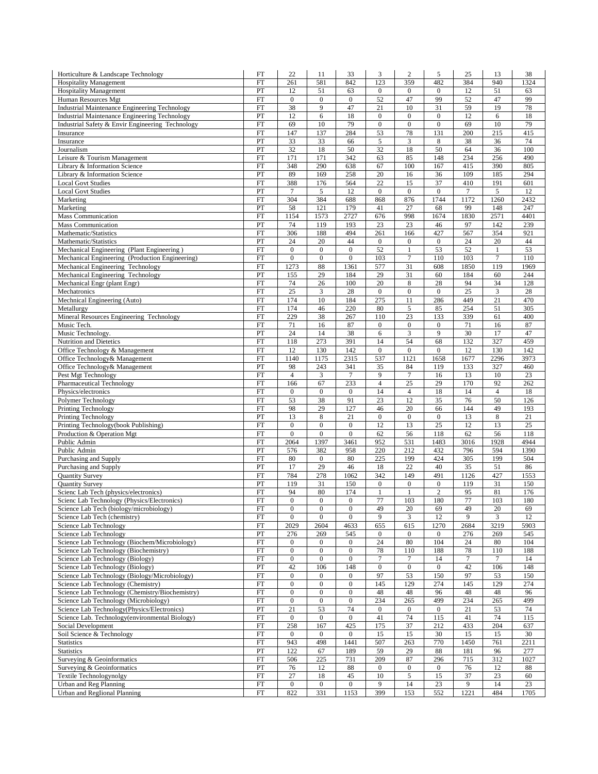| Horticulture & Landscape Technology                                                                          | FT                               | 22                               | 11                     | 33                     | 3                              | $\overline{c}$         | 5                        | 25               | 13                   | 38              |
|--------------------------------------------------------------------------------------------------------------|----------------------------------|----------------------------------|------------------------|------------------------|--------------------------------|------------------------|--------------------------|------------------|----------------------|-----------------|
| <b>Hospitality Management</b>                                                                                | FT                               | 261                              | 581                    | 842                    | 123                            | 359                    | 482                      | 384              | 940                  | 1324            |
| <b>Hospitality Management</b>                                                                                | PT                               | 12                               | 51                     | 63                     | $\boldsymbol{0}$               | $\mathbf{0}$           | $\overline{0}$           | 12               | 51                   | 63              |
| Human Resources Mgt                                                                                          | <b>FT</b>                        | $\mathbf{0}$                     | $\mathbf{0}$<br>9      | $\boldsymbol{0}$<br>47 | 52                             | 47                     | 99                       | 52<br>59         | 47                   | 99              |
| <b>Industrial Maintenance Engineering Technology</b><br><b>Industrial Maintenance Engineering Technology</b> | FT<br>PT                         | 38<br>12                         | 6                      | 18                     | 21<br>$\boldsymbol{0}$         | 10<br>$\boldsymbol{0}$ | 31<br>$\boldsymbol{0}$   | 12               | 19<br>6              | 78<br>18        |
| Industrial Safety & Envir Engineering Technology                                                             | FT                               | 69                               | 10                     | 79                     | $\boldsymbol{0}$               | $\boldsymbol{0}$       | $\boldsymbol{0}$         | 69               | 10                   | 79              |
| Insurance                                                                                                    | FT                               | 147                              | 137                    | 284                    | 53                             | 78                     | 131                      | 200              | 215                  | 415             |
| Insurance                                                                                                    | PT                               | 33                               | 33                     | 66                     | $\mathfrak s$                  | 3                      | 8                        | 38               | 36                   | 74              |
| Journalism                                                                                                   | PT                               | 32                               | 18                     | 50                     | 32                             | 18                     | 50                       | 64               | 36                   | 100             |
| Leisure & Tourism Management                                                                                 | FT                               | 171                              | 171                    | 342                    | 63                             | 85                     | 148                      | 234              | 256                  | 490             |
| Library & Information Science                                                                                | FT                               | 348                              | 290                    | 638                    | 67                             | 100                    | 167                      | 415              | 390                  | 805             |
| Library & Information Science<br><b>Local Govt Studies</b>                                                   | PT<br>FT                         | 89<br>388                        | 169<br>176             | 258<br>564             | 20<br>22                       | 16<br>15               | 36<br>37                 | 109<br>410       | 185<br>191           | 294<br>601      |
| <b>Local Govt Studies</b>                                                                                    | PT                               | $\tau$                           | 5                      | 12                     | $\boldsymbol{0}$               | $\boldsymbol{0}$       | $\mathbf 0$              | 7                | $\sqrt{5}$           | 12              |
| Marketing                                                                                                    | <b>FT</b>                        | 304                              | 384                    | 688                    | 868                            | 876                    | 1744                     | 1172             | 1260                 | 2432            |
| Marketing                                                                                                    | PT                               | 58                               | 121                    | 179                    | 41                             | 27                     | 68                       | 99               | 148                  | 247             |
| <b>Mass Communication</b>                                                                                    | FT                               | 1154                             | 1573                   | 2727                   | 676                            | 998                    | 1674                     | 1830             | 2571                 | 4401            |
| <b>Mass Communication</b>                                                                                    | PT                               | 74                               | 119                    | 193                    | 23                             | 23                     | 46                       | 97               | 142                  | 239             |
| Mathematic/Statistics                                                                                        | <b>FT</b>                        | 306                              | 188                    | 494                    | 261                            | 166                    | 427                      | 567              | 354                  | 921             |
| Mathematic/Statistics                                                                                        | PT<br>FT                         | 24                               | 20<br>$\boldsymbol{0}$ | 44<br>$\mathbf{0}$     | $\boldsymbol{0}$               | $\boldsymbol{0}$<br>1  | $\boldsymbol{0}$         | 24               | 20                   | 44              |
| Mechanical Engineering (Plant Engineering)<br>Mechanical Engineering (Production Engineering)                | <b>FT</b>                        | $\boldsymbol{0}$<br>$\mathbf{0}$ | $\mathbf{0}$           | $\mathbf{0}$           | 52<br>103                      | $\overline{7}$         | 53<br>110                | 52<br>103        | 1<br>$\overline{7}$  | 53<br>110       |
| Mechanical Engineering Technology                                                                            | <b>FT</b>                        | 1273                             | $88\,$                 | 1361                   | 577                            | 31                     | 608                      | 1850             | 119                  | 1969            |
| Mechanical Engineering Technology                                                                            | PT                               | 155                              | 29                     | 184                    | 29                             | 31                     | 60                       | 184              | 60                   | 244             |
| Mechanical Engr (plant Engr)                                                                                 | FT                               | 74                               | 26                     | 100                    | 20                             | 8                      | 28                       | 94               | 34                   | 128             |
| Mechatronics                                                                                                 | FT                               | 25                               | $\mathfrak{Z}$         | 28                     | $\boldsymbol{0}$               | $\boldsymbol{0}$       | $\boldsymbol{0}$         | 25               | $\boldsymbol{\beta}$ | 28              |
| Mechnical Engineering (Auto)                                                                                 | FT                               | 174                              | 10                     | 184                    | 275                            | 11                     | 286                      | 449              | 21                   | 470             |
| Metallurgy                                                                                                   | FT                               | 174                              | 46                     | 220                    | 80                             | 5                      | 85                       | 254              | 51                   | 305             |
| Mineral Resources Engineering Technology                                                                     | <b>FT</b>                        | 229                              | 38<br>16               | 267<br>87              | 110                            | 23                     | 133                      | 339              | 61                   | 400<br>87       |
| Music Tech.<br>Music Technology.                                                                             | FT<br>PT                         | 71<br>24                         | 14                     | 38                     | $\boldsymbol{0}$<br>$\sqrt{6}$ | $\boldsymbol{0}$<br>3  | $\boldsymbol{0}$<br>9    | 71<br>30         | 16<br>17             | 47              |
| Nutrition and Dietetics                                                                                      | FT                               | 118                              | 273                    | 391                    | 14                             | 54                     | 68                       | 132              | 327                  | 459             |
| Office Technology & Management                                                                               | FT                               | 12                               | 130                    | 142                    | $\boldsymbol{0}$               | $\boldsymbol{0}$       | $\boldsymbol{0}$         | 12               | 130                  | 142             |
| Office Technology& Management                                                                                | FT                               | 1140                             | 1175                   | 2315                   | 537                            | 1121                   | 1658                     | 1677             | 2296                 | 3973            |
| Office Technology& Management                                                                                | PT                               | 98                               | 243                    | 341                    | 35                             | 84                     | 119                      | 133              | 327                  | 460             |
| Pest Mgt Technology                                                                                          | <b>FT</b>                        | $\overline{4}$                   | $\mathfrak{Z}$         | $\tau$                 | 9                              | $\tau$                 | 16                       | 13               | 10                   | 23              |
| Pharmaceutical Technology                                                                                    | FT                               | 166                              | 67                     | 233                    | $\overline{4}$                 | 25                     | 29                       | 170              | 92                   | 262             |
| Physics/electronics                                                                                          | FT<br><b>FT</b>                  | $\boldsymbol{0}$<br>53           | $\mathbf{0}$<br>38     | $\bf{0}$<br>91         | 14<br>23                       | 4<br>12                | 18<br>35                 | 14<br>76         | $\overline{4}$<br>50 | 18<br>126       |
| Polymer Technology<br>Printing Technology                                                                    | FT                               | 98                               | 29                     | 127                    | 46                             | 20                     | 66                       | 144              | 49                   | 193             |
| Printing Technology                                                                                          | PT                               | 13                               | 8                      | 21                     | $\boldsymbol{0}$               | $\boldsymbol{0}$       | $\boldsymbol{0}$         | 13               | $\,$ 8 $\,$          | $\overline{21}$ |
| Printing Technology(book Publishing)                                                                         | <b>FT</b>                        | $\mathbf{0}$                     | $\mathbf{0}$           | $\mathbf{0}$           | 12                             | 13                     | 25                       | 12               | 13                   | 25              |
| Production & Operation Mgt                                                                                   | <b>FT</b>                        | $\boldsymbol{0}$                 | $\mathbf{0}$           | $\boldsymbol{0}$       | 62                             | 56                     | 118                      | 62               | 56                   | 118             |
| Public Admin                                                                                                 | FT                               | 2064                             | 1397                   | 3461                   | 952                            | 531                    | 1483                     | 3016             | 1928                 | 4944            |
| Public Admin                                                                                                 | PT                               | 576                              | 382                    | 958                    | 220                            | 212                    | 432                      | 796              | 594                  | 1390            |
| Purchasing and Supply                                                                                        | FT<br>PT                         | 80<br>17                         | $\mathbf{0}$           | 80                     | 225                            | 199                    | 424                      | 305              | 199                  | 504<br>86       |
| Purchasing and Supply<br><b>Quantity Survey</b>                                                              | FT                               | 784                              | 29<br>278              | 46<br>1062             | 18<br>342                      | 22<br>149              | 40<br>491                | 35<br>1126       | 51<br>427            | 1553            |
| Quantity Survey                                                                                              | PT                               | 119                              | 31                     | 150                    | $\boldsymbol{0}$               | $\boldsymbol{0}$       | $\boldsymbol{0}$         | 119              | 31                   | 150             |
| Scienc Lab Tech (physics/electronics)                                                                        | FT                               | 94                               | 80                     | 174                    | $\mathbf{1}$                   | $\mathbf{1}$           | $\overline{c}$           | 95               | 81                   | 176             |
| Scienc Lab Technology (Physics/Electronics)                                                                  | FT                               | $\boldsymbol{0}$                 | $\mathbf{0}$           | $\mathbf{0}$           | 77                             | 103                    | 180                      | 77               | 103                  | 180             |
| Science Lab Tech (biology/microbiology)                                                                      | FT                               | $\theta$                         | $\theta$               | $\boldsymbol{0}$       | 49                             | 20                     | 69                       | 49               | 20                   | 69              |
| Science Lab Tech (chemistry)                                                                                 | FT                               | $\overline{0}$                   | $\boldsymbol{0}$       | $\boldsymbol{0}$       | 9                              | 3                      | 12                       | 9                | 3                    | 12              |
| Science Lab Technology<br>Science Lab Technology                                                             | FT                               | 2029                             | 2604                   | 4633                   | 655                            | 615                    | 1270<br>$\boldsymbol{0}$ | 2684             | 3219                 | 5903            |
| Science Lab Technology (Biochem/Microbiology)                                                                | PT<br>FT                         | 276<br>$\mathbf{0}$              | 269<br>$\mathbf{0}$    | 545<br>$\bf{0}$        | $\boldsymbol{0}$<br>24         | $\boldsymbol{0}$<br>80 | 104                      | 276<br>24        | 269<br>80            | 545<br>104      |
| Science Lab Technology (Biochemistry)                                                                        | FT                               | $\mathbf{0}$                     | $\mathbf{0}$           | $\boldsymbol{0}$       | 78                             | 110                    | 188                      | 78               | 110                  | 188             |
| Science Lab Technology (Biology)                                                                             | FT                               | $\mathbf{0}$                     | $\mathbf{0}$           | $\boldsymbol{0}$       | $\tau$                         | $\boldsymbol{7}$       | 14                       | $\boldsymbol{7}$ | $7\phantom{.0}$      | 14              |
| Science Lab Technology (Biology)                                                                             | PT                               | 42                               | 106                    | 148                    | $\boldsymbol{0}$               | $\boldsymbol{0}$       | $\boldsymbol{0}$         | 42               | 106                  | 148             |
| Science Lab Technology (Biology/Microbiology)                                                                | FT                               | $\mathbf{0}$                     | $\boldsymbol{0}$       | $\bf{0}$               | 97                             | 53                     | 150                      | 97               | 53                   | 150             |
| Science Lab Technology (Chemistry)                                                                           | FT                               | $\mathbf{0}$                     | $\boldsymbol{0}$       | $\boldsymbol{0}$       | 145                            | 129                    | 274                      | 145              | 129                  | 274             |
| Science Lab Technology (Chemistry/Biochemistry)                                                              | FT                               | $\overline{0}$                   | $\mathbf{0}$           | $\boldsymbol{0}$       | 48                             | 48                     | 96                       | 48               | 48                   | 96              |
| Science Lab Technology (Microbiology)<br>Science Lab Technology(Physics/Electronics)                         | <b>FT</b><br>PT                  | $\mathbf{0}$<br>21               | $\mathbf{0}$<br>53     | $\boldsymbol{0}$<br>74 | 234<br>$\boldsymbol{0}$        | 265                    | 499<br>$\mathbf{0}$      | 234              | 265                  | 499             |
| Science Lab. Technology(environmental Biology)                                                               | FT                               | $\mathbf{0}$                     | $\mathbf{0}$           | $\boldsymbol{0}$       | 41                             | $\boldsymbol{0}$<br>74 | 115                      | 21<br>41         | 53<br>74             | 74<br>115       |
| Social Development                                                                                           | FT                               | 258                              | 167                    | 425                    | 175                            | 37                     | 212                      | 433              | 204                  | 637             |
| Soil Science & Technology                                                                                    | FT                               | $\mathbf{0}$                     | $\mathbf{0}$           | $\boldsymbol{0}$       | 15                             | 15                     | 30                       | 15               | 15                   | 30              |
| <b>Statistics</b>                                                                                            | FT                               | 943                              | 498                    | 1441                   | 507                            | 263                    | 770                      | 1450             | 761                  | 2211            |
| <b>Statistics</b>                                                                                            | PT                               | 122                              | 67                     | 189                    | 59                             | 29                     | 88                       | 181              | 96                   | 277             |
| Surveying & Geoinformatics                                                                                   | FT                               | 506                              | 225                    | 731                    | 209                            | 87                     | 296                      | 715              | 312                  | 1027            |
| Surveying & Geoinformatics                                                                                   | PT                               | 76                               | 12                     | 88                     | $\boldsymbol{0}$               | $\boldsymbol{0}$       | $\boldsymbol{0}$         | 76               | 12                   | 88              |
| Textile Technologynolgy<br>Urban and Reg Planning                                                            | FT<br>$\mathop{\rm FT}\nolimits$ | 27<br>$\boldsymbol{0}$           | 18<br>$\boldsymbol{0}$ | 45<br>$\boldsymbol{0}$ | 10<br>9                        | 5<br>14                | 15<br>23                 | 37<br>9          | 23<br>14             | 60<br>23        |
| <b>Urban and Reglional Planning</b>                                                                          | <b>FT</b>                        | 822                              | 331                    | 1153                   | 399                            | 153                    | 552                      | 1221             | 484                  | 1705            |